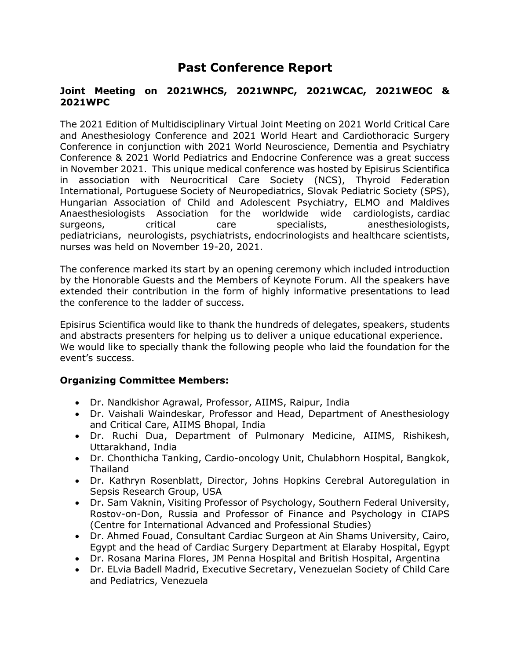## **Past Conference Report**

## **Joint Meeting on 2021WHCS, 2021WNPC, 2021WCAC, 2021WEOC & 2021WPC**

The 2021 Edition of Multidisciplinary Virtual Joint Meeting on 2021 World Critical Care and Anesthesiology Conference and 2021 World Heart and Cardiothoracic Surgery Conference in conjunction with 2021 World Neuroscience, Dementia and Psychiatry Conference & 2021 World Pediatrics and Endocrine Conference was a great success in November 2021. This unique medical conference was hosted by Episirus Scientifica in association with Neurocritical Care Society (NCS), Thyroid Federation International, Portuguese Society of Neuropediatrics, Slovak Pediatric Society (SPS), Hungarian Association of Child and Adolescent Psychiatry, ELMO and Maldives Anaesthesiologists Association for the worldwide wide cardiologists, cardiac surgeons, critical care specialists, anesthesiologists, pediatricians, neurologists, psychiatrists, endocrinologists and healthcare scientists, nurses was held on November 19-20, 2021.

The conference marked its start by an opening ceremony which included introduction by the Honorable Guests and the Members of Keynote Forum. All the speakers have extended their contribution in the form of highly informative presentations to lead the conference to the ladder of success.

Episirus Scientifica would like to thank the hundreds of delegates, speakers, students and abstracts presenters for helping us to deliver a unique educational experience. We would like to specially thank the following people who laid the foundation for the event's success.

## **Organizing Committee Members:**

- Dr. Nandkishor Agrawal, Professor, AIIMS, Raipur, India
- Dr. Vaishali Waindeskar, Professor and Head, Department of Anesthesiology and Critical Care, AIIMS Bhopal, India
- Dr. Ruchi Dua, Department of Pulmonary Medicine, AIIMS, Rishikesh, Uttarakhand, India
- Dr. Chonthicha Tanking, Cardio-oncology Unit, Chulabhorn Hospital, Bangkok, Thailand
- Dr. Kathryn Rosenblatt, Director, Johns Hopkins Cerebral Autoregulation in Sepsis Research Group, USA
- Dr. Sam Vaknin, Visiting Professor of Psychology, Southern Federal University, Rostov-on-Don, Russia and Professor of Finance and Psychology in CIAPS (Centre for International Advanced and Professional Studies)
- Dr. Ahmed Fouad, Consultant Cardiac Surgeon at Ain Shams University, Cairo, Egypt and the head of Cardiac Surgery Department at Elaraby Hospital, Egypt
- Dr. Rosana Marina Flores, JM Penna Hospital and British Hospital, Argentina
- Dr. ELvia Badell Madrid, Executive Secretary, Venezuelan Society of Child Care and Pediatrics, Venezuela